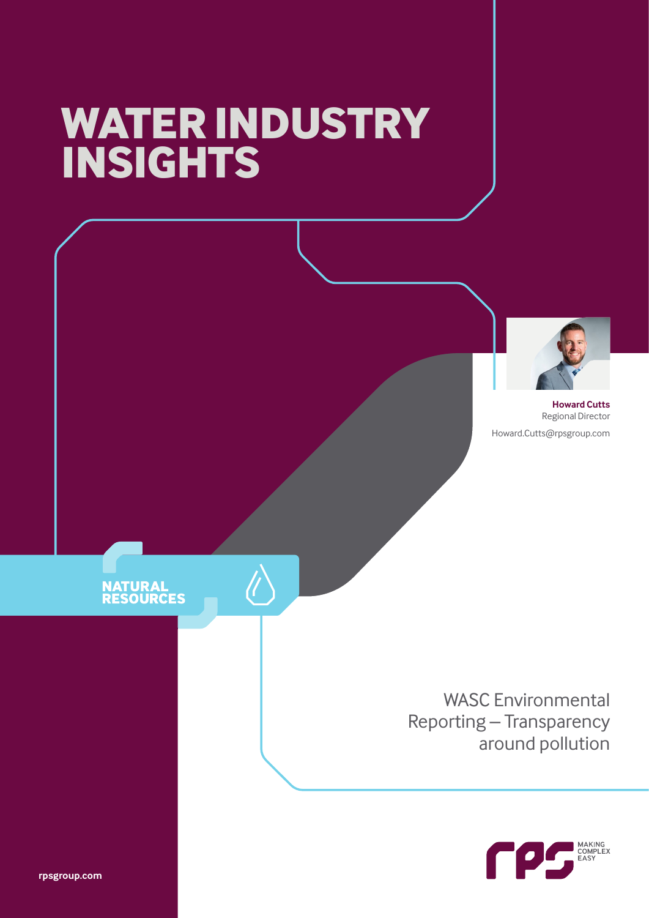# **WATER INDUSTRY INSIGHTS**

 $\bigwedge$ 



**Howard Cutts** Regional Director Howard.Cutts@rpsgroup.com

### **NATURAL<br>RESOURCES**

WASC Environmental Reporting – Transparency around pollution



**rpsgroup.com**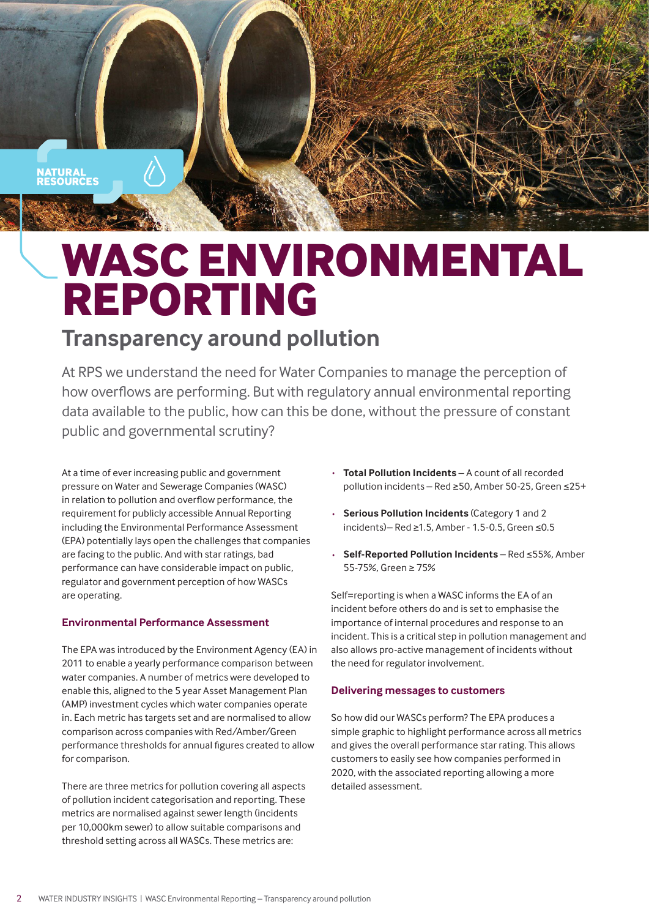

## **WASC ENVIRONMENTAL REPORTING**

### **Transparency around pollution**

At RPS we understand the need for Water Companies to manage the perception of how overflows are performing. But with regulatory annual environmental reporting data available to the public, how can this be done, without the pressure of constant public and governmental scrutiny?

At a time of ever increasing public and government pressure on Water and Sewerage Companies (WASC) in relation to pollution and overflow performance, the requirement for publicly accessible Annual Reporting including the Environmental Performance Assessment (EPA) potentially lays open the challenges that companies are facing to the public. And with star ratings, bad performance can have considerable impact on public, regulator and government perception of how WASCs are operating.

#### **Environmental Performance Assessment**

The EPA was introduced by the Environment Agency (EA) in 2011 to enable a yearly performance comparison between water companies. A number of metrics were developed to enable this, aligned to the 5 year Asset Management Plan (AMP) investment cycles which water companies operate in. Each metric has targets set and are normalised to allow comparison across companies with Red/Amber/Green performance thresholds for annual figures created to allow for comparison.

There are three metrics for pollution covering all aspects of pollution incident categorisation and reporting. These metrics are normalised against sewer length (incidents per 10,000km sewer) to allow suitable comparisons and threshold setting across all WASCs. These metrics are:

- · **Total Pollution Incidents** A count of all recorded pollution incidents – Red ≥50, Amber 50-25, Green ≤25+
- **Serious Pollution Incidents (Category 1 and 2** incidents)– Red ≥1.5, Amber - 1.5-0.5, Green ≤0.5
- · **Self-Reported Pollution Incidents** Red ≤55%, Amber 55-75%, Green ≥ 75%

Self=reporting is when a WASC informs the EA of an incident before others do and is set to emphasise the importance of internal procedures and response to an incident. This is a critical step in pollution management and also allows pro-active management of incidents without the need for regulator involvement.

#### **Delivering messages to customers**

So how did our WASCs perform? The EPA produces a simple graphic to highlight performance across all metrics and gives the overall performance star rating. This allows customers to easily see how companies performed in 2020, with the associated reporting allowing a more detailed assessment.